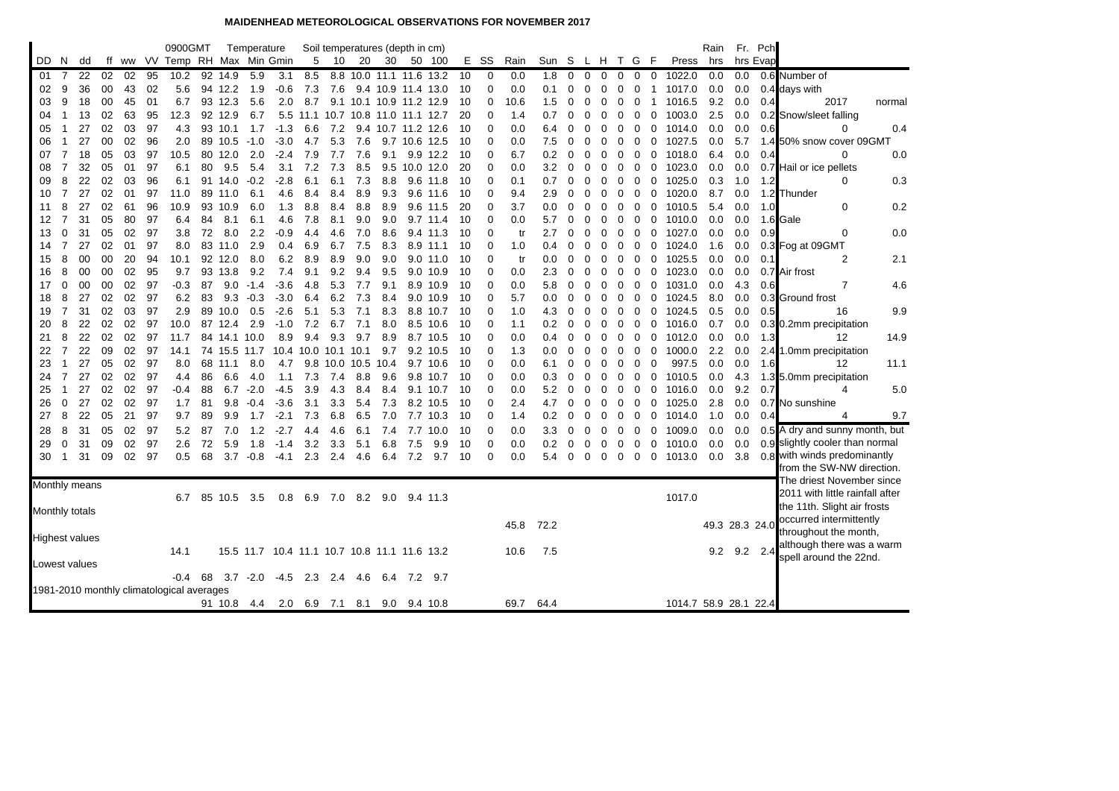## **MAIDENHEAD METEOROLOGICAL OBSERVATIONS FOR NOVEMBER 2017**

|     |                |                       |    |    |      | 0900GMT                                   |    |           | Temperature |                                              |      |           |      | Soil temperatures (depth in cm) |         |                         |    |             |      |                 |             |          |             |             |                |                |                       | Rain           |     | Fr. Pch   |                                                        |        |
|-----|----------------|-----------------------|----|----|------|-------------------------------------------|----|-----------|-------------|----------------------------------------------|------|-----------|------|---------------------------------|---------|-------------------------|----|-------------|------|-----------------|-------------|----------|-------------|-------------|----------------|----------------|-----------------------|----------------|-----|-----------|--------------------------------------------------------|--------|
| DD. | N.             | dd                    | ff |    |      | ww VV Temp RH Max Min Gmin                |    |           |             |                                              | 5    | - 10      | 20   | 30                              |         | 50 100                  |    | E SS        | Rain | Sun S L H T G F |             |          |             |             |                |                | Press                 | hrs            |     | hrs Evap  |                                                        |        |
| 01  | $\overline{7}$ | 22                    | 02 | 02 | 95   | 10.2                                      | 92 | 14.9      | 5.9         | 3.1                                          | 8.5  | 8.8       |      |                                 |         | 10.0 11.1 11.6 13.2     | 10 | 0           | 0.0  | 1.8             | 0           | 0        | 0           | 0           | 0              | 0              | 1022.0                | 0.0            | 0.0 |           | 0.6 Number of                                          |        |
| 02  | 9              | 36                    | 00 | 43 | 02   | 5.6                                       |    | 94 12.2   | 1.9         | $-0.6$                                       | 7.3  | 7.6       |      |                                 |         | 9.4 10.9 11.4 13.0      | 10 | $\mathbf 0$ | 0.0  | 0.1             | 0           | 0        | $\Omega$    | 0           | 0              | $\mathbf{1}$   | 1017.0                | 0.0            | 0.0 |           | 0.4 days with                                          |        |
| 03  | 9              | 18                    | 00 | 45 | 01   | 6.7                                       |    | 93 12.3   | 5.6         | 2.0                                          | 8.7  |           |      |                                 |         | 9.1 10.1 10.9 11.2 12.9 | 10 | $\mathbf 0$ | 10.6 | 1.5             | 0           | 0        | 0           | 0           | 0              | $\overline{1}$ | 1016.5                | 9.2            | 0.0 | 0.4       | 2017                                                   | normal |
| 04  | $\mathbf{1}$   | 13                    | 02 | 63 | 95   | 12.3                                      | 92 | 12.9      | 6.7         | 5.5                                          | 11.1 |           |      | 10.7 10.8 11.0                  |         | 11.1 12.7               | 20 | $\mathbf 0$ | 1.4  | 0.7             | $\Omega$    | $\Omega$ | 0           | 0           | 0              | $\mathbf 0$    | 1003.0                | 2.5            | 0.0 |           | 0.2 Snow/sleet falling                                 |        |
| 05  | $\mathbf{1}$   | 27                    | 02 | 03 | 97   | 4.3                                       |    | 93 10.1   | 1.7         | $-1.3$                                       | 6.6  | 7.2       |      |                                 |         | 9.4 10.7 11.2 12.6      | 10 | $\mathbf 0$ | 0.0  | 6.4             | 0           | $\Omega$ | 0           | $\mathbf 0$ | 0              | $\mathbf 0$    | 1014.0                | 0.0            | 0.0 | 0.6       | 0                                                      | 0.4    |
| 06  | -1             | 27                    | 00 | 02 | 96   | 2.0                                       |    | 89 10.5   | $-1.0$      | $-3.0$                                       | 4.7  | 5.3       | 7.6  |                                 |         | 9.7 10.6 12.5           | 10 | $\mathbf 0$ | 0.0  | 7.5             | 0           |          |             | 0           | 0              | 0              | 1027.5                | 0.0            | 5.7 |           | 1.4 50% snow cover 09GMT                               |        |
| 07  | 7              | 18                    | 05 | 03 | 97   | 10.5                                      | 80 | 12.0      | 2.0         | -2.4                                         | 7.9  | 7.7       | 7.6  | 9.1                             |         | 9.9 12.2                | 10 | 0           | 6.7  | 0.2             | 0           | 0        | 0           | 0           | 0              | 0              | 1018.0                | 6.4            | 0.0 | 0.4       | $\Omega$                                               | 0.0    |
| 08  | 7              | 32                    | 05 | 01 | 97   | 6.1                                       | 80 | 9.5       | 5.4         | 3.1                                          | 7.2  | 7.3       | 8.5  |                                 |         | 9.5 10.0 12.0           | 20 | $\mathbf 0$ | 0.0  | 3.2             | 0           | $\Omega$ | 0           | 0           | 0              | 0              | 1023.0                | 0.0            | 0.0 |           | 0.7 Hail or ice pellets                                |        |
| 09  | 8              | 22                    | 02 | 03 | 96   | 6.1                                       |    | 91 14.0   | $-0.2$      | $-2.8$                                       | 6.1  | 6.1       | 7.3  | 8.8                             |         | 9.6 11.8                | 10 | $\mathbf 0$ | 0.1  | 0.7             | 0           | 0        | 0           | 0           | $\mathbf 0$    | $\mathbf 0$    | 1025.0                | 0.3            | 1.0 | 1.2       | 0                                                      | 0.3    |
| 10  | 7              | 27                    | 02 | 01 | 97   | 11.0                                      | 89 | 11.0      | 6.1         | 4.6                                          | 8.4  | 8.4       | 8.9  | 9.3                             |         | $9.6$ 11.6              | 10 | 0           | 9.4  | 2.9             | 0           | 0        | 0           | 0           | 0              | 0              | 1020.0                | 8.7            | 0.0 |           | 1.2 Thunder                                            |        |
| 11  | 8              | 27                    | 02 | 61 | 96   | 10.9                                      | 93 | 10.9      | 6.0         | 1.3                                          | 8.8  | 8.4       | 8.8  | 8.9                             |         | 9.6 11.5                | 20 | $\mathbf 0$ | 3.7  | 0.0             | 0           | $\Omega$ | 0           | 0           | $\mathbf 0$    | $\mathbf 0$    | 1010.5                | 5.4            | 0.0 | 1.0       | $\mathbf 0$                                            | 0.2    |
| 12  | $\overline{7}$ | 31                    | 05 | 80 | 97   | 6.4                                       | 84 | 8.1       | 6.1         | 4.6                                          | 7.8  | 8.1       | 9.0  | 9.0                             |         | $9.7$ 11.4              | 10 | $\mathbf 0$ | 0.0  | 5.7             | 0           | $\Omega$ | 0           | $\mathbf 0$ | $\mathbf 0$    | $\mathbf 0$    | 1010.0                | 0.0            | 0.0 |           | 1.6 Gale                                               |        |
| 13  | 0              | 31                    | 05 | 02 | 97   | 3.8                                       | 72 | 8.0       | 2.2         | $-0.9$                                       | 4.4  | 4.6       | 7.0  | 8.6                             |         | 9.4 11.3                | 10 | $\mathbf 0$ | tr   | 2.7             | 0           |          | 0           | 0           | 0              | 0              | 1027.0                | 0.0            | 0.0 | 0.9       | 0                                                      | 0.0    |
| 14  | 7              | 27                    | 02 | 01 | 97   | 8.0                                       | 83 | 11.0      | 2.9         | 0.4                                          | 6.9  | 6.7       | 7.5  | 8.3                             | 8.9     | 11.1                    | 10 | 0           | 1.0  | 0.4             | 0           | 0        | 0           | 0           | 0              | 0              | 1024.0                | 1.6            | 0.0 |           | 0.3 Fog at 09GMT                                       |        |
| 15  | 8              | 00                    | 00 | 20 | 94   | 10.1                                      |    | 92 12.0   | 8.0         | 6.2                                          | 8.9  | 8.9       | 9.0  | 9.0                             |         | $9.0$ 11.0              | 10 | $\mathbf 0$ | tr   | 0.0             | 0           | 0        | 0           | 0           | 0              | 0              | 1025.5                | 0.0            | 0.0 | 0.1       | 2                                                      | 2.1    |
| 16  | 8              | 00                    | 00 | 02 | 95   | 9.7                                       | 93 | 13.8      | 9.2         | 7.4                                          | 9.1  | 9.2       | 9.4  | 9.5                             |         | 9.0 10.9                | 10 | $\Omega$    | 0.0  | 2.3             | 0           | 0        | 0           | 0           | $\mathbf 0$    | $\mathbf 0$    | 1023.0                | 0.0            | 0.0 |           | 0.7 Air frost                                          |        |
| 17  | 0              | 00                    | 00 | 02 | 97   | -0.3                                      | 87 | 9.0       | $-1.4$      | $-3.6$                                       | 4.8  | 5.3       | 7.7  | 9.1                             |         | 8.9 10.9                | 10 | $\Omega$    | 0.0  | 5.8             | 0           | 0        | 0           | 0           | 0              | 0              | 1031.0                | 0.0            | 4.3 | 0.6       | 7                                                      | 4.6    |
| 18  | 8              | 27                    | 02 | 02 | 97   | 6.2                                       | 83 | 9.3       | $-0.3$      | $-3.0$                                       | 6.4  | 6.2       | 7.3  | 8.4                             |         | 9.0 10.9                | 10 | $\mathbf 0$ | 5.7  | 0.0             | 0           | $\Omega$ | 0           | 0           | 0              | 0              | 1024.5                | 8.0            | 0.0 |           | 0.3 Ground frost                                       |        |
| 19  | $\overline{7}$ | 31                    | 02 | 03 | 97   | 2.9                                       | 89 | 10.0      | 0.5         | $-2.6$                                       | 5.1  | 5.3       | 7.1  | 8.3                             |         | 8.8 10.7                | 10 | $\mathbf 0$ | 1.0  | 4.3             | 0           | $\Omega$ | 0           | $\Omega$    | $\mathbf 0$    | $\mathbf 0$    | 1024.5                | 0.5            | 0.0 | 0.5       | 16                                                     | 9.9    |
| 20  | 8              | 22                    | 02 | 02 | 97   | 10.0                                      |    | 87 12.4   | 2.9         | $-1.0$                                       | 7.2  | 6.7       | 7.1  | 8.0                             |         | 8.5 10.6                | 10 | $\mathbf 0$ | 1.1  | 0.2             | 0           | 0        | 0           | 0           | $\mathbf 0$    |                | 0.1016.0              | 0.7            | 0.0 |           | 0.3 0.2mm precipitation                                |        |
| 21  | 8              | 22                    | 02 | 02 | 97   | 11.7                                      | 84 | 14.1 10.0 |             | 8.9                                          | 9.4  | 9.3       | 9.7  | 8.9                             |         | 8.7 10.5                | 10 | 0           | 0.0  | 0.4             | 0           | 0        | 0           | 0           | 0              | 0              | 1012.0                | 0.0            | 0.0 | 1.3       | 12                                                     | 14.9   |
| 22  | 7              | 22                    | 09 | 02 | 97   | 14.1                                      | 74 | 15.5      | 11.7        | 10.4 10.0                                    |      | 10.1 10.1 |      | 9.7                             |         | 9.2 10.5                | 10 | 0           | 1.3  | 0.0             | 0           | 0        | 0           | 0           | 0              | 0              | 1000.0                | 2.2            | 0.0 |           | 2.4 1.0mm precipitation                                |        |
| 23  | -1             | 27                    | 05 | 02 | 97   | 8.0                                       | 68 | 11.1      | 8.0         | 4.7                                          | 9.8  | 10.0      | 10.5 | 10.4                            |         | 9.7 10.6                | 10 | 0           | 0.0  | 6.1             | 0           | $\Omega$ | 0           | 0           | 0              | 0              | 997.5                 | 0.0            | 0.0 | 1.6       | 12                                                     | 11.1   |
| 24  | 7              | 27                    | 02 | 02 | 97   | 4.4                                       | 86 | 6.6       | 4.0         | 1.1                                          | 7.3  | 7.4       | 8.8  | 9.6                             |         | 9.8 10.7                | 10 | $\mathbf 0$ | 0.0  | 0.3             | 0           | 0        | 0           | 0           | 0              | 0              | 1010.5                | 0.0            | 4.3 |           | 1.3 5.0mm precipitation                                |        |
| 25  | $\mathbf{1}$   | 27                    | 02 | 02 | 97   | -0.4                                      | 88 | 6.7       | $-2.0$      | $-4.5$                                       | 3.9  | 4.3       | 8.4  | 8.4                             |         | 9.1 10.7                | 10 | $\mathbf 0$ | 0.0  | 5.2             | 0           | 0        | 0           | 0           | 0              | $\mathbf 0$    | 1016.0                | 0.0            | 9.2 | 0.7       | 4                                                      | 5.0    |
| 26  | $\mathbf 0$    | 27                    | 02 | 02 | 97   | 1.7                                       | 81 | 9.8       | $-0.4$      | $-3.6$                                       | 3.1  | 3.3       | 5.4  | 7.3                             |         | 8.2 10.5                | 10 | $\mathbf 0$ | 2.4  | 4.7             | 0           | $\Omega$ | 0           | 0           | 0              | $\mathbf 0$    | 1025.0                | 2.8            | 0.0 |           | 0.7 No sunshine                                        |        |
| 27  | 8              | 22                    | 05 | 21 | 97   | 9.7                                       | 89 | 9.9       | 1.7         | $-2.1$                                       | 7.3  | 6.8       | 6.5  | 7.0                             |         | 7.7 10.3                | 10 | 0           | 1.4  | 0.2             | 0           | 0        | 0           | 0           | 0              | $\mathbf 0$    | 1014.0                | 1.0            | 0.0 | 0.4       | 4                                                      | 9.7    |
| 28  | 8              | 31                    | 05 | 02 | - 97 | 5.2                                       | 87 | 7.0       | 1.2         | $-2.7$                                       | 4.4  | 4.6       | 6.1  | 7.4                             |         | 7.7 10.0                | 10 | $\mathbf 0$ | 0.0  | 3.3             | 0           | 0        | 0           | 0           | $\overline{0}$ | $\mathbf 0$    | 1009.0                | 0.0            | 0.0 |           | 0.5 A dry and sunny month, but                         |        |
| 29  | $\mathbf 0$    | 31                    | 09 | 02 | 97   | 2.6                                       | 72 | 5.9       | 1.8         | $-1.4$                                       | 3.2  | 3.3       | 5.1  | 6.8                             | 7.5     | 9.9                     | 10 | $\Omega$    | 0.0  | 0.2             | 0           | $\Omega$ | 0           | 0           | $\mathbf 0$    | $\mathbf 0$    | 1010.0                | 0.0            | 0.0 |           | 0.9 slightly cooler than normal                        |        |
| 30  | $\overline{1}$ | 31                    | 09 | 02 | 97   | 0.5                                       | 68 |           | $3.7 -0.8$  | $-4.1$                                       | 2.3  | 2.4       | 4.6  | 6.4                             | 7.2     | 9.7                     | 10 | $\mathbf 0$ | 0.0  | 5.4             | $\mathbf 0$ | $\Omega$ | $\mathbf 0$ | $\mathbf 0$ | $\mathbf 0$    | $\mathbf 0$    | 1013.0                | 0.0            | 3.8 |           | 0.8 with winds predominantly                           |        |
|     |                |                       |    |    |      |                                           |    |           |             |                                              |      |           |      |                                 |         |                         |    |             |      |                 |             |          |             |             |                |                |                       |                |     |           | from the SW-NW direction.                              |        |
|     |                | Monthly means         |    |    |      |                                           |    |           |             |                                              |      |           |      |                                 |         |                         |    |             |      |                 |             |          |             |             |                |                |                       |                |     |           | The driest November since                              |        |
|     |                |                       |    |    |      | 6.7                                       |    | 85 10.5   | 3.5         | 0.8                                          | 6.9  | 7.0       | 8.2  | 9.0                             |         | 9.4 11.3                |    |             |      |                 |             |          |             |             |                |                | 1017.0                |                |     |           | 2011 with little rainfall after                        |        |
|     |                | Monthly totals        |    |    |      |                                           |    |           |             |                                              |      |           |      |                                 |         |                         |    |             |      |                 |             |          |             |             |                |                |                       |                |     |           | the 11th. Slight air frosts<br>occurred intermittently |        |
|     |                |                       |    |    |      |                                           |    |           |             |                                              |      |           |      |                                 |         |                         |    |             | 45.8 | 72.2            |             |          |             |             |                |                |                       | 49.3 28.3 24.0 |     |           | throughout the month,                                  |        |
|     |                | <b>Highest values</b> |    |    |      |                                           |    |           |             |                                              |      |           |      |                                 |         |                         |    |             |      |                 |             |          |             |             |                |                |                       |                |     |           | although there was a warm                              |        |
|     |                |                       |    |    |      | 14.1                                      |    |           |             | 15.5 11.7 10.4 11.1 10.7 10.8 11.1 11.6 13.2 |      |           |      |                                 |         |                         |    |             | 10.6 | 7.5             |             |          |             |             |                |                |                       | 9.2            |     | $9.2$ 2.4 | spell around the 22nd.                                 |        |
|     |                | Lowest values         |    |    |      |                                           |    |           |             |                                              |      |           |      |                                 |         |                         |    |             |      |                 |             |          |             |             |                |                |                       |                |     |           |                                                        |        |
|     |                |                       |    |    |      | -0.4                                      | 68 |           |             | 3.7 -2.0 -4.5 2.3 2.4 4.6                    |      |           |      |                                 | 6.4 7.2 | - 9.7                   |    |             |      |                 |             |          |             |             |                |                |                       |                |     |           |                                                        |        |
|     |                |                       |    |    |      | 1981-2010 monthly climatological averages |    |           |             |                                              |      |           |      |                                 |         |                         |    |             |      |                 |             |          |             |             |                |                |                       |                |     |           |                                                        |        |
|     |                |                       |    |    |      |                                           |    |           | 91 10.8 4.4 | 2.0                                          | 6.9  | 7.1       | 8.1  |                                 |         | 9.0 9.4 10.8            |    |             | 69.7 | 64.4            |             |          |             |             |                |                | 1014.7 58.9 28.1 22.4 |                |     |           |                                                        |        |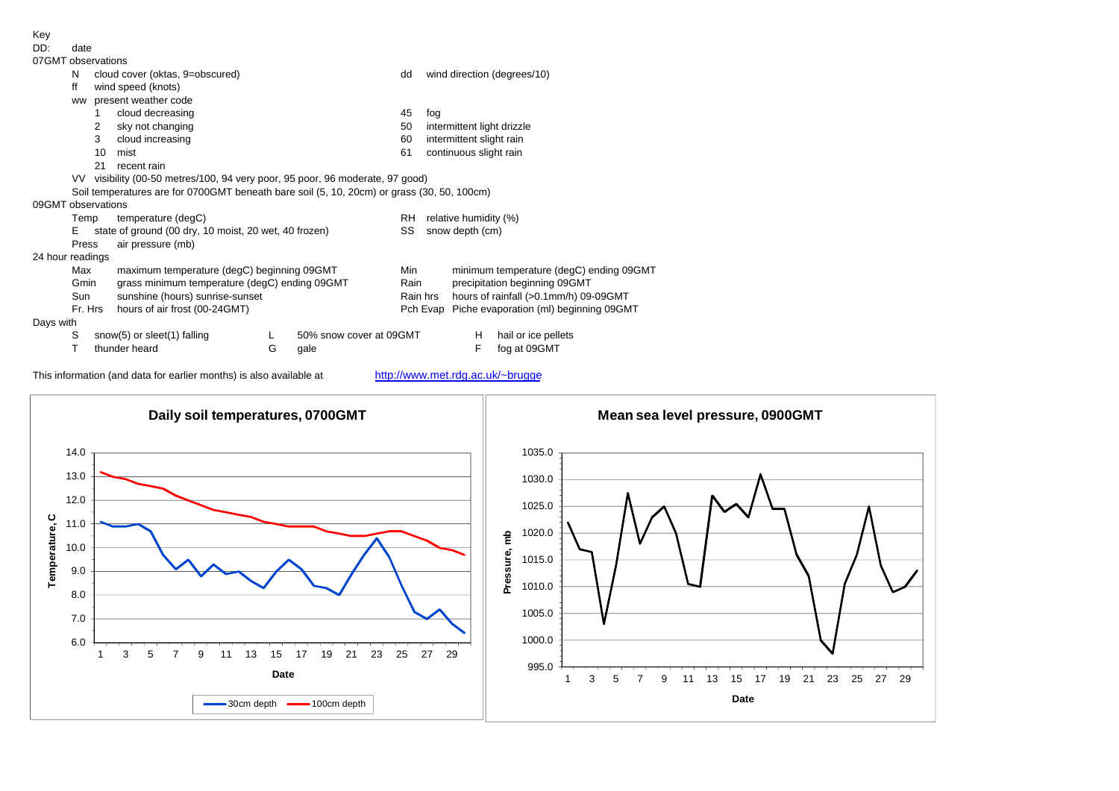| Key              |                                                                                            |                                                                               |                                                       |   |                         |          |                       |                                         |                                        |  |  |  |  |  |  |
|------------------|--------------------------------------------------------------------------------------------|-------------------------------------------------------------------------------|-------------------------------------------------------|---|-------------------------|----------|-----------------------|-----------------------------------------|----------------------------------------|--|--|--|--|--|--|
| DD:              | date                                                                                       |                                                                               |                                                       |   |                         |          |                       |                                         |                                        |  |  |  |  |  |  |
|                  | 07GMT observations                                                                         |                                                                               |                                                       |   |                         |          |                       |                                         |                                        |  |  |  |  |  |  |
|                  | N                                                                                          |                                                                               | cloud cover (oktas, 9=obscured)                       |   |                         | dd       |                       |                                         | wind direction (degrees/10)            |  |  |  |  |  |  |
|                  | ff                                                                                         |                                                                               | wind speed (knots)                                    |   |                         |          |                       |                                         |                                        |  |  |  |  |  |  |
|                  | <b>WW</b>                                                                                  |                                                                               | present weather code                                  |   |                         |          |                       |                                         |                                        |  |  |  |  |  |  |
|                  |                                                                                            |                                                                               | cloud decreasing                                      |   |                         | 45       | fog                   |                                         |                                        |  |  |  |  |  |  |
|                  |                                                                                            | 2                                                                             | sky not changing                                      |   |                         | 50       |                       | intermittent light drizzle              |                                        |  |  |  |  |  |  |
|                  |                                                                                            | 3                                                                             | cloud increasing                                      |   |                         | 60       |                       | intermittent slight rain                |                                        |  |  |  |  |  |  |
|                  |                                                                                            | 10                                                                            | mist                                                  |   |                         | 61       |                       | continuous slight rain                  |                                        |  |  |  |  |  |  |
|                  |                                                                                            | 21                                                                            | recent rain                                           |   |                         |          |                       |                                         |                                        |  |  |  |  |  |  |
|                  |                                                                                            | VV visibility (00-50 metres/100, 94 very poor, 95 poor, 96 moderate, 97 good) |                                                       |   |                         |          |                       |                                         |                                        |  |  |  |  |  |  |
|                  | Soil temperatures are for 0700GMT beneath bare soil (5, 10, 20cm) or grass (30, 50, 100cm) |                                                                               |                                                       |   |                         |          |                       |                                         |                                        |  |  |  |  |  |  |
|                  | 09GMT observations                                                                         |                                                                               |                                                       |   |                         |          |                       |                                         |                                        |  |  |  |  |  |  |
|                  | Temp                                                                                       |                                                                               | temperature (degC)                                    |   |                         | RH       | relative humidity (%) |                                         |                                        |  |  |  |  |  |  |
|                  | E                                                                                          |                                                                               | state of ground (00 dry, 10 moist, 20 wet, 40 frozen) |   |                         | SS       | snow depth (cm)       |                                         |                                        |  |  |  |  |  |  |
|                  | Press                                                                                      |                                                                               | air pressure (mb)                                     |   |                         |          |                       |                                         |                                        |  |  |  |  |  |  |
| 24 hour readings |                                                                                            |                                                                               |                                                       |   |                         |          |                       |                                         |                                        |  |  |  |  |  |  |
|                  | Max                                                                                        |                                                                               | maximum temperature (degC) beginning 09GMT            |   |                         | Min      |                       | minimum temperature (degC) ending 09GMT |                                        |  |  |  |  |  |  |
|                  | Gmin                                                                                       |                                                                               | grass minimum temperature (degC) ending 09GMT         |   |                         | Rain     |                       | precipitation beginning 09GMT           |                                        |  |  |  |  |  |  |
|                  | sunshine (hours) sunrise-sunset<br>Sun                                                     |                                                                               |                                                       |   |                         | Rain hrs |                       |                                         | hours of rainfall (>0.1mm/h) 09-09GMT  |  |  |  |  |  |  |
|                  | Fr. Hrs<br>hours of air frost (00-24GMT)                                                   |                                                                               |                                                       |   |                         |          | Pch Evap              |                                         | Piche evaporation (ml) beginning 09GMT |  |  |  |  |  |  |
| Days with        |                                                                                            |                                                                               |                                                       |   |                         |          |                       |                                         |                                        |  |  |  |  |  |  |
|                  | S                                                                                          |                                                                               | snow(5) or sleet(1) falling                           |   | 50% snow cover at 09GMT |          |                       | H                                       | hail or ice pellets                    |  |  |  |  |  |  |
|                  |                                                                                            |                                                                               | thunder heard                                         | G | gale                    |          |                       | F                                       | fog at 09GMT                           |  |  |  |  |  |  |

This information (and data for earlier months) is also available at http://www.met.rdg.ac.uk/~brugge